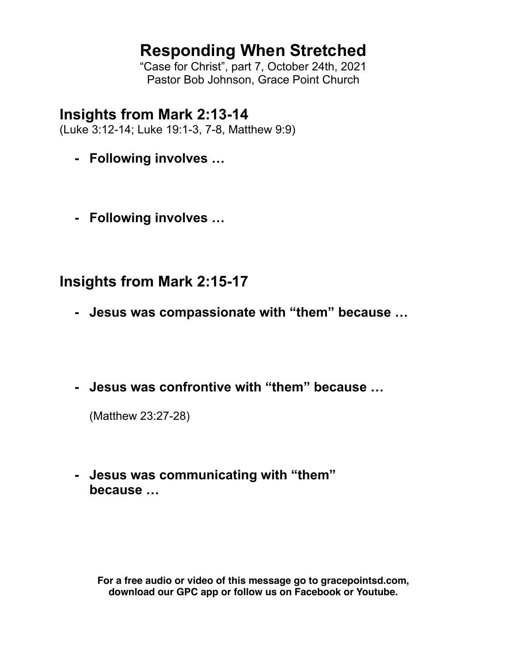# **Responding When Stretched**

"Case for Christ", part 7, October 24th, 2021 Pastor Bob Johnson, Grace Point Church

## **Insights from Mark 2:13-14**

(Luke 3:12-14; Luke 19:1-3, 7-8, Matthew 9:9)

- **- Following involves …**
- **- Following involves …**

## **Insights from Mark 2:15-17**

- **- Jesus was compassionate with "them" because …**
- **- Jesus was confrontive with "them" because …**

(Matthew 23:27-28)

**- Jesus was communicating with "them" because …**

**For a free audio or video of this message go to gracepointsd.com, download our GPC app or follow us on Facebook or Youtube.**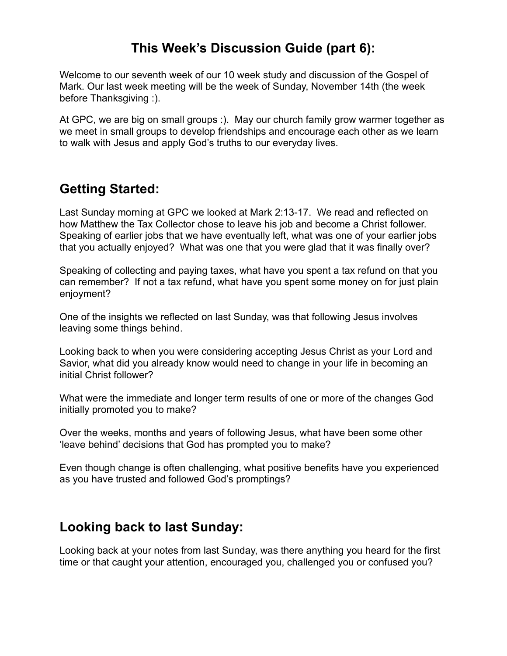### **This Week's Discussion Guide (part 6):**

Welcome to our seventh week of our 10 week study and discussion of the Gospel of Mark. Our last week meeting will be the week of Sunday, November 14th (the week before Thanksgiving :).

At GPC, we are big on small groups :). May our church family grow warmer together as we meet in small groups to develop friendships and encourage each other as we learn to walk with Jesus and apply God's truths to our everyday lives.

## **Getting Started:**

Last Sunday morning at GPC we looked at Mark 2:13-17. We read and reflected on how Matthew the Tax Collector chose to leave his job and become a Christ follower. Speaking of earlier jobs that we have eventually left, what was one of your earlier jobs that you actually enjoyed? What was one that you were glad that it was finally over?

Speaking of collecting and paying taxes, what have you spent a tax refund on that you can remember? If not a tax refund, what have you spent some money on for just plain enjoyment?

One of the insights we reflected on last Sunday, was that following Jesus involves leaving some things behind.

Looking back to when you were considering accepting Jesus Christ as your Lord and Savior, what did you already know would need to change in your life in becoming an initial Christ follower?

What were the immediate and longer term results of one or more of the changes God initially promoted you to make?

Over the weeks, months and years of following Jesus, what have been some other 'leave behind' decisions that God has prompted you to make?

Even though change is often challenging, what positive benefits have you experienced as you have trusted and followed God's promptings?

#### **Looking back to last Sunday:**

Looking back at your notes from last Sunday, was there anything you heard for the first time or that caught your attention, encouraged you, challenged you or confused you?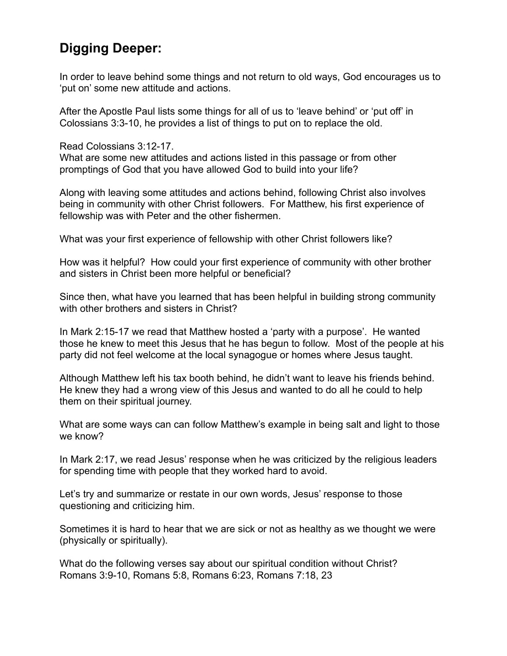### **Digging Deeper:**

In order to leave behind some things and not return to old ways, God encourages us to 'put on' some new attitude and actions.

After the Apostle Paul lists some things for all of us to 'leave behind' or 'put off' in Colossians 3:3-10, he provides a list of things to put on to replace the old.

Read Colossians 3:12-17.

What are some new attitudes and actions listed in this passage or from other promptings of God that you have allowed God to build into your life?

Along with leaving some attitudes and actions behind, following Christ also involves being in community with other Christ followers. For Matthew, his first experience of fellowship was with Peter and the other fishermen.

What was your first experience of fellowship with other Christ followers like?

How was it helpful? How could your first experience of community with other brother and sisters in Christ been more helpful or beneficial?

Since then, what have you learned that has been helpful in building strong community with other brothers and sisters in Christ?

In Mark 2:15-17 we read that Matthew hosted a 'party with a purpose'. He wanted those he knew to meet this Jesus that he has begun to follow. Most of the people at his party did not feel welcome at the local synagogue or homes where Jesus taught.

Although Matthew left his tax booth behind, he didn't want to leave his friends behind. He knew they had a wrong view of this Jesus and wanted to do all he could to help them on their spiritual journey.

What are some ways can can follow Matthew's example in being salt and light to those we know?

In Mark 2:17, we read Jesus' response when he was criticized by the religious leaders for spending time with people that they worked hard to avoid.

Let's try and summarize or restate in our own words, Jesus' response to those questioning and criticizing him.

Sometimes it is hard to hear that we are sick or not as healthy as we thought we were (physically or spiritually).

What do the following verses say about our spiritual condition without Christ? Romans 3:9-10, Romans 5:8, Romans 6:23, Romans 7:18, 23